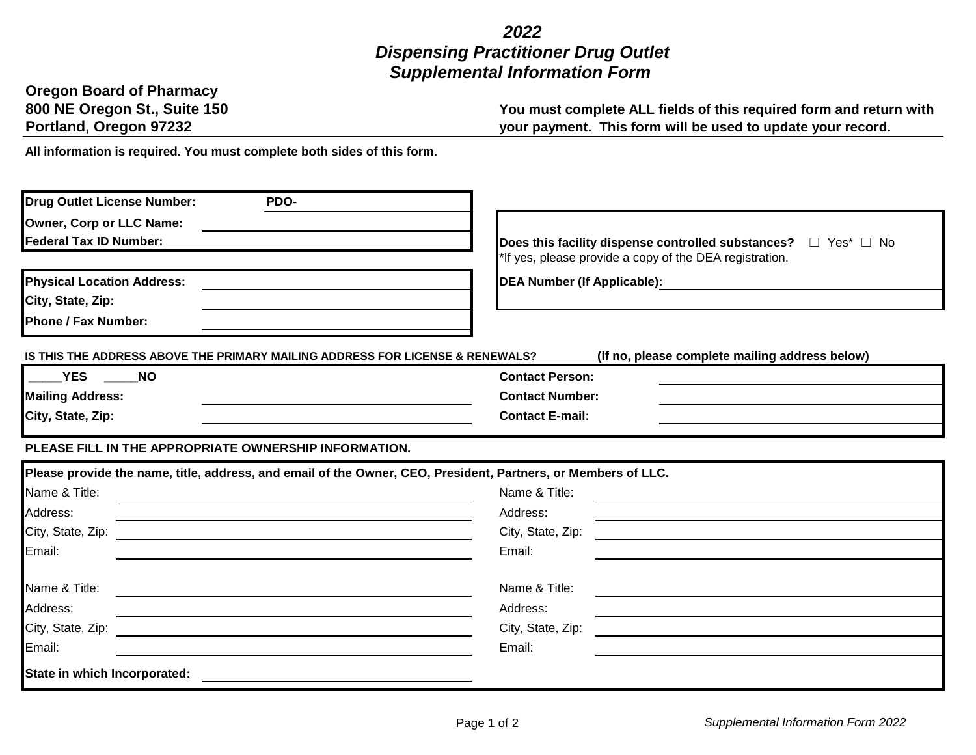## *2022 Dispensing Practitioner Drug Outlet Supplemental Information Form*

| <b>Oregon Board of Pharmacy</b> |
|---------------------------------|
| 800 NE Oregon St., Suite 150    |
| Portland, Oregon 97232          |

**You must complete ALL fields of this required form and return with your payment. This form will be used to update your record.**

**All information is required. You must complete both sides of this form.** 

| Drug Outlet License Number:<br>PDO-                                                                                              |                                                                                                                                           |
|----------------------------------------------------------------------------------------------------------------------------------|-------------------------------------------------------------------------------------------------------------------------------------------|
| Owner, Corp or LLC Name:                                                                                                         |                                                                                                                                           |
| <b>Federal Tax ID Number:</b>                                                                                                    | Does this facility dispense controlled substances? $\Box$ Yes* $\Box$ No                                                                  |
|                                                                                                                                  | If yes, please provide a copy of the DEA registration.                                                                                    |
| <b>Physical Location Address:</b>                                                                                                | <b>DEA Number (If Applicable):</b>                                                                                                        |
| City, State, Zip:                                                                                                                |                                                                                                                                           |
| <b>Phone / Fax Number:</b>                                                                                                       |                                                                                                                                           |
| IS THIS THE ADDRESS ABOVE THE PRIMARY MAILING ADDRESS FOR LICENSE & RENEWALS?                                                    | (If no, please complete mailing address below)                                                                                            |
| <b>YES</b><br><b>NO</b>                                                                                                          | <b>Contact Person:</b>                                                                                                                    |
| <b>Mailing Address:</b>                                                                                                          | <b>Contact Number:</b>                                                                                                                    |
| City, State, Zip:                                                                                                                | <b>Contact E-mail:</b>                                                                                                                    |
| PLEASE FILL IN THE APPROPRIATE OWNERSHIP INFORMATION.                                                                            |                                                                                                                                           |
|                                                                                                                                  | Please provide the name, title, address, and email of the Owner, CEO, President, Partners, or Members of LLC.                             |
| Name & Title:                                                                                                                    | Name & Title:                                                                                                                             |
| Address:<br><u> 1989 - Johann Stein, mars an deus an deus an deus an deus an deus an deus an deus an deus an deus an deus an</u> | Address:                                                                                                                                  |
| City, State, Zip:<br><u> 1980 - Andrea Andrew Maria (h. 1980).</u>                                                               | City, State, Zip:<br><u> 1980 - Jan Stein Stein Stein Stein Stein Stein Stein Stein Stein Stein Stein Stein Stein Stein Stein Stein S</u> |
| Email:                                                                                                                           | Email:                                                                                                                                    |
| Name & Title:                                                                                                                    | Name & Title:                                                                                                                             |
| Address:                                                                                                                         | Address:                                                                                                                                  |
| City, State, Zip:<br><u> 1980 - Johann Stein, fransk politik (f. 1980)</u>                                                       | City, State, Zip:<br><u> 1980 - Johann Stein, Amerikaansk politiker (</u>                                                                 |
| Email:                                                                                                                           | Email:                                                                                                                                    |
| State in which Incorporated:                                                                                                     |                                                                                                                                           |